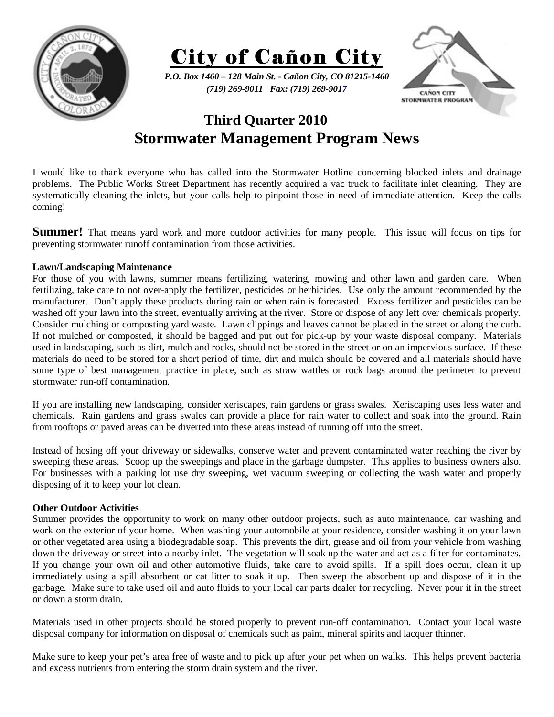

City of Cañon City

*P.O. Box 1460 – 128 Main St. - Cañon City, CO 81215-1460 (719) 269-9011 Fax: (719) 269-9017* 



# **Third Quarter 2010 Stormwater Management Program News**

I would like to thank everyone who has called into the Stormwater Hotline concerning blocked inlets and drainage problems. The Public Works Street Department has recently acquired a vac truck to facilitate inlet cleaning. They are systematically cleaning the inlets, but your calls help to pinpoint those in need of immediate attention. Keep the calls coming!

**Summer!** That means yard work and more outdoor activities for many people. This issue will focus on tips for preventing stormwater runoff contamination from those activities.

## **Lawn/Landscaping Maintenance**

For those of you with lawns, summer means fertilizing, watering, mowing and other lawn and garden care. When fertilizing, take care to not over-apply the fertilizer, pesticides or herbicides. Use only the amount recommended by the manufacturer. Don't apply these products during rain or when rain is forecasted. Excess fertilizer and pesticides can be washed off your lawn into the street, eventually arriving at the river. Store or dispose of any left over chemicals properly. Consider mulching or composting yard waste. Lawn clippings and leaves cannot be placed in the street or along the curb. If not mulched or composted, it should be bagged and put out for pick-up by your waste disposal company. Materials used in landscaping, such as dirt, mulch and rocks, should not be stored in the street or on an impervious surface. If these materials do need to be stored for a short period of time, dirt and mulch should be covered and all materials should have some type of best management practice in place, such as straw wattles or rock bags around the perimeter to prevent stormwater run-off contamination.

If you are installing new landscaping, consider xeriscapes, rain gardens or grass swales. Xeriscaping uses less water and chemicals. Rain gardens and grass swales can provide a place for rain water to collect and soak into the ground. Rain from rooftops or paved areas can be diverted into these areas instead of running off into the street.

Instead of hosing off your driveway or sidewalks, conserve water and prevent contaminated water reaching the river by sweeping these areas. Scoop up the sweepings and place in the garbage dumpster. This applies to business owners also. For businesses with a parking lot use dry sweeping, wet vacuum sweeping or collecting the wash water and properly disposing of it to keep your lot clean.

### **Other Outdoor Activities**

Summer provides the opportunity to work on many other outdoor projects, such as auto maintenance, car washing and work on the exterior of your home. When washing your automobile at your residence, consider washing it on your lawn or other vegetated area using a biodegradable soap. This prevents the dirt, grease and oil from your vehicle from washing down the driveway or street into a nearby inlet. The vegetation will soak up the water and act as a filter for contaminates. If you change your own oil and other automotive fluids, take care to avoid spills. If a spill does occur, clean it up immediately using a spill absorbent or cat litter to soak it up. Then sweep the absorbent up and dispose of it in the garbage. Make sure to take used oil and auto fluids to your local car parts dealer for recycling. Never pour it in the street or down a storm drain.

Materials used in other projects should be stored properly to prevent run-off contamination. Contact your local waste disposal company for information on disposal of chemicals such as paint, mineral spirits and lacquer thinner.

Make sure to keep your pet's area free of waste and to pick up after your pet when on walks. This helps prevent bacteria and excess nutrients from entering the storm drain system and the river.